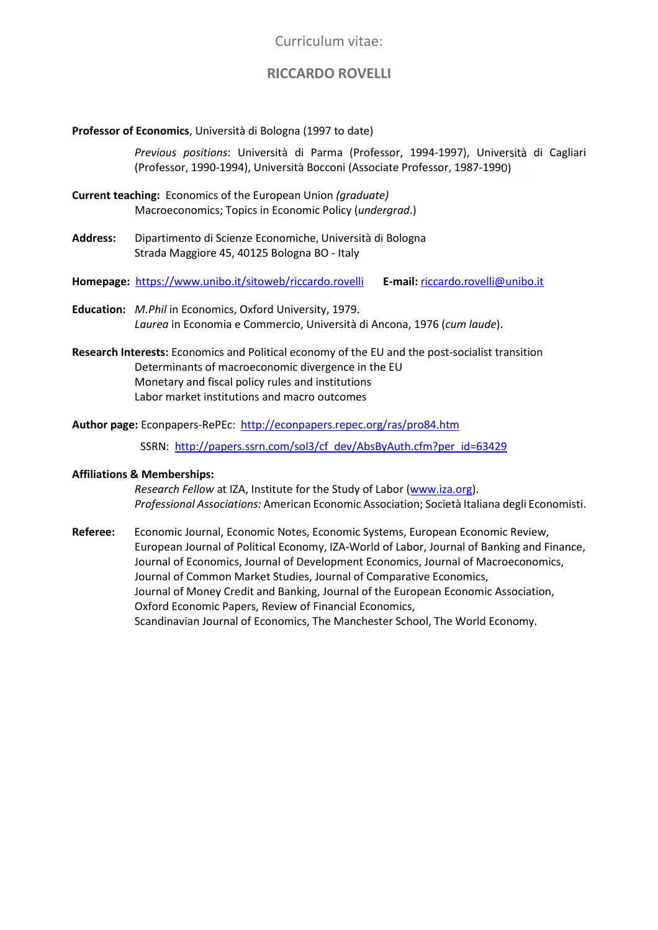Curriculum vitae:

# **RICCARDO ROVELLI**

## **Professor of Economics**, Università di Bologna (1997 to date)

*Previous positions*: Università di Parma (Professor, 1994-1997), Università di Cagliari (Professor, 1990-1994), Università Bocconi (Associate Professor, 1987-1990)

- **Current teaching:** Economics of the European Union *(graduate)* Macroeconomics; Topics in Economic Policy (*undergrad*.)
- **Address:** Dipartimento di Scienze Economiche, Università di Bologna Strada Maggiore 45, 40125 Bologna BO - Italy
- **Homepage:** https://www.unibo.it/sitoweb/riccardo.rovelli **E-mail:** riccardo.rovelli@unibo.it
- **Education:** *M.Phil* in Economics, Oxford University, 1979. *Laurea* in Economia e Commercio, Università di Ancona, 1976 (*cum laude*).
- **Research Interests:** Economics and Political economy of the EU and the post-socialist transition Determinants of macroeconomic divergence in the EU Monetary and fiscal policy rules and institutions Labor market institutions and macro outcomes
- **Author page:** Econpapers-RePEc:http://econpapers.repec.org/ras/pro84.htm

SSRN: http://papers.ssrn.com/sol3/cf\_dev/AbsByAuth.cfm?per\_id=63429

## **Affiliations & Memberships:**

*Research Fellow* at IZA, Institute for the Study of Labor (www.iza.org). *Professional Associations:* American Economic Association; Società Italiana degli Economisti.

**Referee:** Economic Journal, Economic Notes, Economic Systems, European Economic Review, European Journal of Political Economy, IZA-World of Labor, Journal of Banking and Finance, Journal of Economics, Journal of Development Economics, Journal of Macroeconomics, Journal of Common Market Studies, Journal of Comparative Economics, Journal of Money Credit and Banking, Journal of the European Economic Association, Oxford Economic Papers, Review of Financial Economics, Scandinavian Journal of Economics, The Manchester School, The World Economy.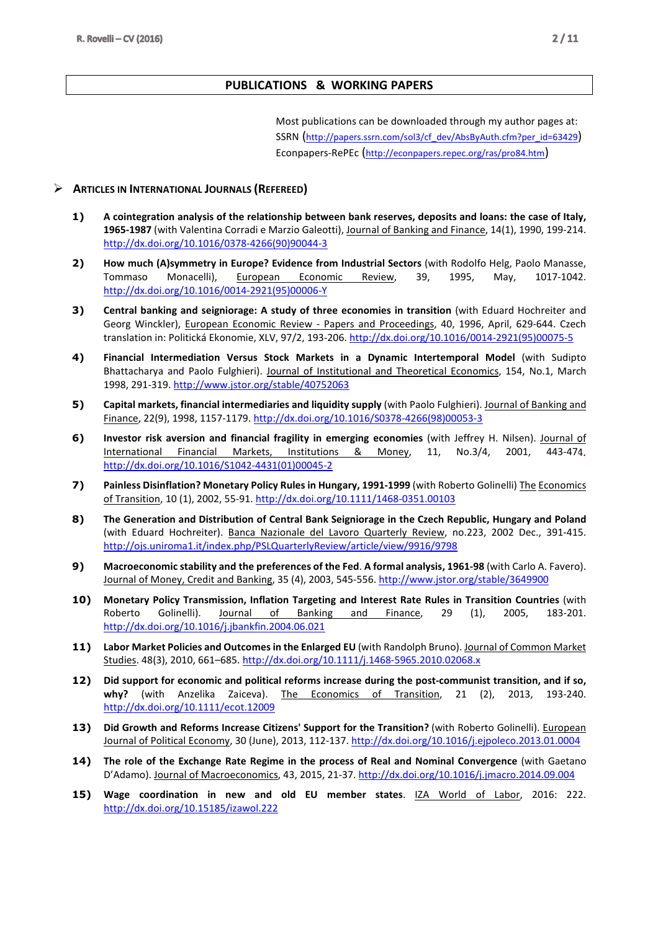## **PUBLICATIONS & WORKING PAPERS**

Most publications can be downloaded through my author pages at: SSRN (http://papers.ssrn.com/sol3/cf\_dev/AbsByAuth.cfm?per\_id=63429) Econpapers-RePEc (http://econpapers.repec.org/ras/pro84.htm)

## **ARTICLES IN INTERNATIONAL JOURNALS (REFEREED)**

- **1) A cointegration analysis of the relationship between bank reserves, deposits and loans: the case of Italy, 1965-1987** (with Valentina Corradi e Marzio Galeotti), Journal of Banking and Finance, 14(1), 1990, 199-214. http://dx.doi.org/10.1016/0378-4266(90)90044-3
- **2) How much (A)symmetry in Europe? Evidence from Industrial Sectors** (with Rodolfo Helg, Paolo Manasse, Tommaso Monacelli), European Economic Review, 39, 1995, May, 1017-1042. http://dx.doi.org/10.1016/0014-2921(95)00006-Y
- **3) Central banking and seigniorage: A study of three economies in transition** (with Eduard Hochreiter and Georg Winckler), European Economic Review - Papers and Proceedings, 40, 1996, April, 629-644. Czech translation in: Politická Ekonomie, XLV, 97/2, 193-206. http://dx.doi.org/10.1016/0014-2921(95)00075-5
- **4) Financial Intermediation Versus Stock Markets in a Dynamic Intertemporal Model** (with Sudipto Bhattacharya and Paolo Fulghieri). Journal of Institutional and Theoretical Economics, 154, No.1, March 1998, 291-319. http://www.jstor.org/stable/40752063
- **5) Capital markets, financial intermediaries and liquidity supply** (with Paolo Fulghieri). Journal of Banking and Finance, 22(9), 1998, 1157-1179. http://dx.doi.org/10.1016/S0378-4266(98)00053-3
- **6) Investor risk aversion and financial fragility in emerging economies** (with Jeffrey H. Nilsen). Journal of International Financial Markets, Institutions & Money, 11, No.3/4, 2001, 443-474. http://dx.doi.org/10.1016/S1042-4431(01)00045-2
- **7) Painless Disinflation? Monetary Policy Rules in Hungary, 1991-1999** (with Roberto Golinelli) The Economics of Transition, 10 (1), 2002, 55-91. http://dx.doi.org/10.1111/1468-0351.00103
- **8) The Generation and Distribution of Central Bank Seigniorage in the Czech Republic, Hungary and Poland** (with Eduard Hochreiter). Banca Nazionale del Lavoro Quarterly Review, no.223, 2002 Dec., 391-415. http://ojs.uniroma1.it/index.php/PSLQuarterlyReview/article/view/9916/9798
- **9) Macroeconomic stability and the preferences of the Fed**. **A formal analysis, 1961-98** (with Carlo A. Favero). Journal of Money, Credit and Banking, 35 (4), 2003, 545-556. http://www.jstor.org/stable/3649900
- **10) Monetary Policy Transmission, Inflation Targeting and Interest Rate Rules in Transition Countries** (with Roberto Golinelli). Journal of Banking and Finance, 29 (1), 2005, 183-201. http://dx.doi.org/10.1016/j.jbankfin.2004.06.021
- **11) Labor Market Policies and Outcomes in the Enlarged EU** (with Randolph Bruno). Journal of Common Market Studies. 48(3), 2010, 661–685. http://dx.doi.org/10.1111/j.1468-5965.2010.02068.x
- **12) Did support for economic and political reforms increase during the post-communist transition, and if so, why?** (with Anzelika Zaiceva). The Economics of Transition, 21 (2), 2013, 193-240. http://dx.doi.org/10.1111/ecot.12009
- 13) Did Growth and Reforms Increase Citizens' Support for the Transition? (with Roberto Golinelli). **European** Journal of Political Economy, 30 (June), 2013, 112-137. http://dx.doi.org/10.1016/j.ejpoleco.2013.01.0004
- **14) The role of the Exchange Rate Regime in the process of Real and Nominal Convergence** (with Gaetano D'Adamo). Journal of Macroeconomics, 43, 2015, 21-37. http://dx.doi.org/10.1016/j.jmacro.2014.09.004
- **15) Wage coordination in new and old EU member states**. IZA World of Labor, 2016: 222. http://dx.doi.org/10.15185/izawol.222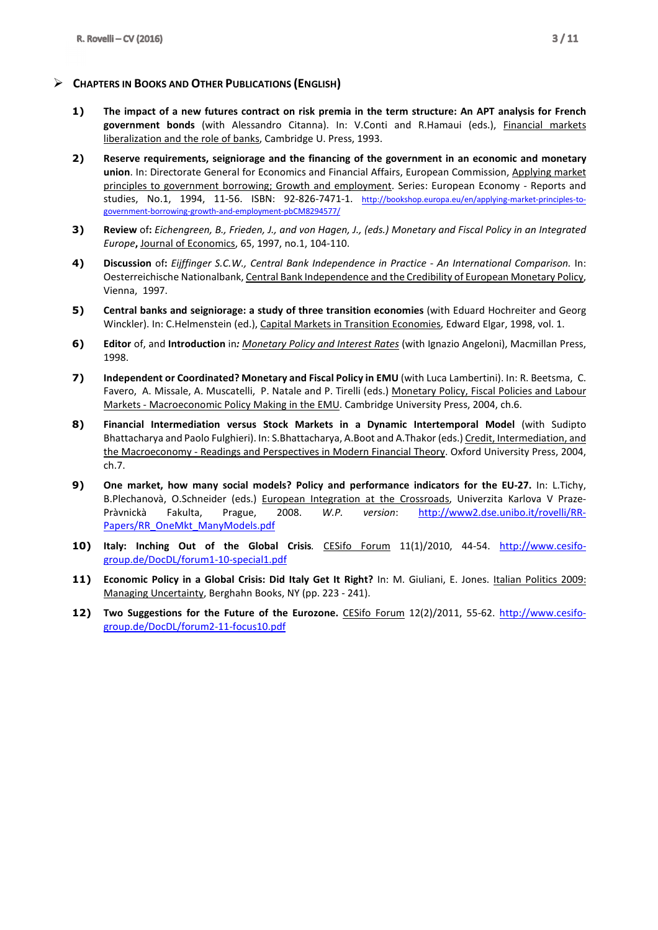## **CHAPTERS IN BOOKS AND OTHER PUBLICATIONS (ENGLISH)**

- **1) The impact of a new futures contract on risk premia in the term structure: An APT analysis for French government bonds** (with Alessandro Citanna). In: V.Conti and R.Hamaui (eds.), Financial markets liberalization and the role of banks, Cambridge U. Press, 1993.
- **2) Reserve requirements, seigniorage and the financing of the government in an economic and monetary union**. In: Directorate General for Economics and Financial Affairs, European Commission, Applying market principles to government borrowing; Growth and employment. Series: European Economy - Reports and studies, No.1, 1994, 11-56. ISBN: 92-826-7471-1. http://bookshop.europa.eu/en/applying-market-principles-togovernment-borrowing-growth-and-employment-pbCM8294577/
- **3) Review** of**:** *Eichengreen, B., Frieden, J., and von Hagen, J., (eds.) Monetary and Fiscal Policy in an Integrated Europe***,** Journal of Economics, 65, 1997, no.1, 104-110.
- **4) Discussion** of**:** *Eijffinger S.C.W., Central Bank Independence in Practice An International Comparison.* In: Oesterreichische Nationalbank, Central Bank Independence and the Credibility of European Monetary Policy, Vienna, 1997.
- **5) Central banks and seigniorage: a study of three transition economies** (with Eduard Hochreiter and Georg Winckler). In: C.Helmenstein (ed.), Capital Markets in Transition Economies, Edward Elgar, 1998, vol. 1.
- **6) Editor** of, and **Introduction** in*: Monetary Policy and Interest Rates* (with Ignazio Angeloni), Macmillan Press, 1998.
- **7) Independent or Coordinated? Monetary and Fiscal Policy in EMU** (with Luca Lambertini). In: R. Beetsma, C. Favero, A. Missale, A. Muscatelli, P. Natale and P. Tirelli (eds.) Monetary Policy, Fiscal Policies and Labour Markets - Macroeconomic Policy Making in the EMU. Cambridge University Press, 2004, ch.6.
- **8) Financial Intermediation versus Stock Markets in a Dynamic Intertemporal Model** (with Sudipto Bhattacharya and Paolo Fulghieri). In: S.Bhattacharya, A.Boot and A.Thakor (eds.) Credit, Intermediation, and the Macroeconomy - Readings and Perspectives in Modern Financial Theory. Oxford University Press, 2004, ch.7.
- **9) One market, how many social models? Policy and performance indicators for the EU-27.** In: L.Tichy, B.Plechanovà, O.Schneider (eds.) European Integration at the Crossroads, Univerzita Karlova V Praze-Pràvnickà Fakulta, Prague, 2008. *W.P. version*: http://www2.dse.unibo.it/rovelli/RR-Papers/RR\_OneMkt\_ManyModels.pdf
- **10) Italy: Inching Out of the Global Crisis***.* CESifo Forum 11(1)/2010, 44-54. http://www.cesifogroup.de/DocDL/forum1-10-special1.pdf
- **11) Economic Policy in a Global Crisis: Did Italy Get It Right?** In: M. Giuliani, E. Jones. Italian Politics 2009: Managing Uncertainty, Berghahn Books, NY (pp. 223 - 241).
- **12) Two Suggestions for the Future of the Eurozone.** CESifo Forum 12(2)/2011, 55-62. http://www.cesifogroup.de/DocDL/forum2-11-focus10.pdf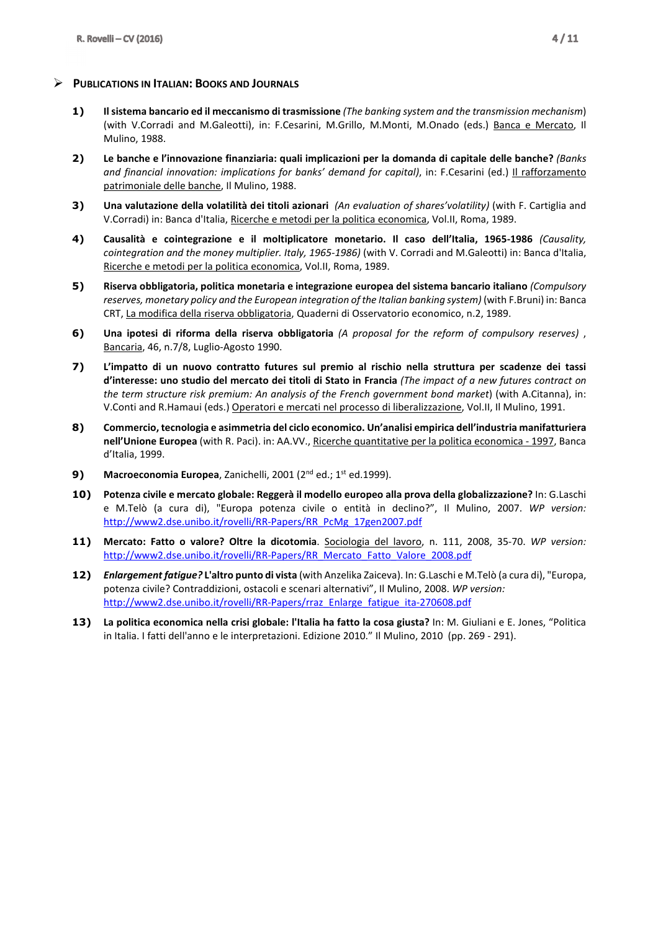#### **PUBLICATIONS IN ITALIAN: BOOKS AND JOURNALS**

- **1) Il sistema bancario ed il meccanismo di trasmissione** *(The banking system and the transmission mechanism*) (with V.Corradi and M.Galeotti), in: F.Cesarini, M.Grillo, M.Monti, M.Onado (eds.) Banca e Mercato, Il Mulino, 1988.
- **2) Le banche e l'innovazione finanziaria: quali implicazioni per la domanda di capitale delle banche?** *(Banks and financial innovation: implications for banks' demand for capital)*, in: F.Cesarini (ed.) Il rafforzamento patrimoniale delle banche, Il Mulino, 1988.
- **3) Una valutazione della volatilità dei titoli azionari** *(An evaluation of shares'volatility)* (with F. Cartiglia and V.Corradi) in: Banca d'Italia, Ricerche e metodi per la politica economica, Vol.II, Roma, 1989.
- **4) Causalità e cointegrazione e il moltiplicatore monetario. Il caso dell'Italia, 1965-1986** *(Causality, cointegration and the money multiplier. Italy, 1965-1986)* (with V. Corradi and M.Galeotti) in: Banca d'Italia, Ricerche e metodi per la politica economica, Vol.II, Roma, 1989.
- **5) Riserva obbligatoria, politica monetaria e integrazione europea del sistema bancario italiano** *(Compulsory reserves, monetary policy and the European integration of the Italian banking system)* (with F.Bruni) in: Banca CRT, La modifica della riserva obbligatoria, Quaderni di Osservatorio economico, n.2, 1989.
- **6) Una ipotesi di riforma della riserva obbligatoria** *(A proposal for the reform of compulsory reserves)* , Bancaria, 46, n.7/8, Luglio-Agosto 1990.
- **7) L'impatto di un nuovo contratto futures sul premio al rischio nella struttura per scadenze dei tassi d'interesse: uno studio del mercato dei titoli di Stato in Francia** *(The impact of a new futures contract on the term structure risk premium: An analysis of the French government bond market*) (with A.Citanna), in: V.Conti and R.Hamaui (eds.) Operatori e mercati nel processo di liberalizzazione, Vol.II, Il Mulino, 1991.
- **8) Commercio, tecnologia e asimmetria del ciclo economico. Un'analisi empirica dell'industria manifatturiera nell'Unione Europea** (with R. Paci). in: AA.VV., Ricerche quantitative per la politica economica - 1997, Banca d'Italia, 1999.
- **9) Macroeconomia Europea**, Zanichelli, 2001 (2<sup>nd</sup> ed.; 1<sup>st</sup> ed.1999).
- **10) Potenza civile e mercato globale: Reggerà il modello europeo alla prova della globalizzazione?** In: G.Laschi e M.Telò (a cura di), "Europa potenza civile o entità in declino?", Il Mulino, 2007. *WP version:* http://www2.dse.unibo.it/rovelli/RR-Papers/RR\_PcMg\_17gen2007.pdf
- **11) Mercato: Fatto o valore? Oltre la dicotomia**. Sociologia del lavoro, n. 111, 2008, 35-70. *WP version:*  http://www2.dse.unibo.it/rovelli/RR-Papers/RR\_Mercato\_Fatto\_Valore\_2008.pdf
- **12)** *Enlargement fatigue?* **L'altro punto di vista** (with Anzelika Zaiceva). In: G.Laschi e M.Telò (a cura di), "Europa, potenza civile? Contraddizioni, ostacoli e scenari alternativi", Il Mulino, 2008. *WP version:* http://www2.dse.unibo.it/rovelli/RR-Papers/rraz\_Enlarge\_fatigue\_ita-270608.pdf
- **13) La politica economica nella crisi globale: l'Italia ha fatto la cosa giusta?** In: M. Giuliani e E. Jones, "Politica in Italia. I fatti dell'anno e le interpretazioni. Edizione 2010." Il Mulino, 2010 (pp. 269 - 291).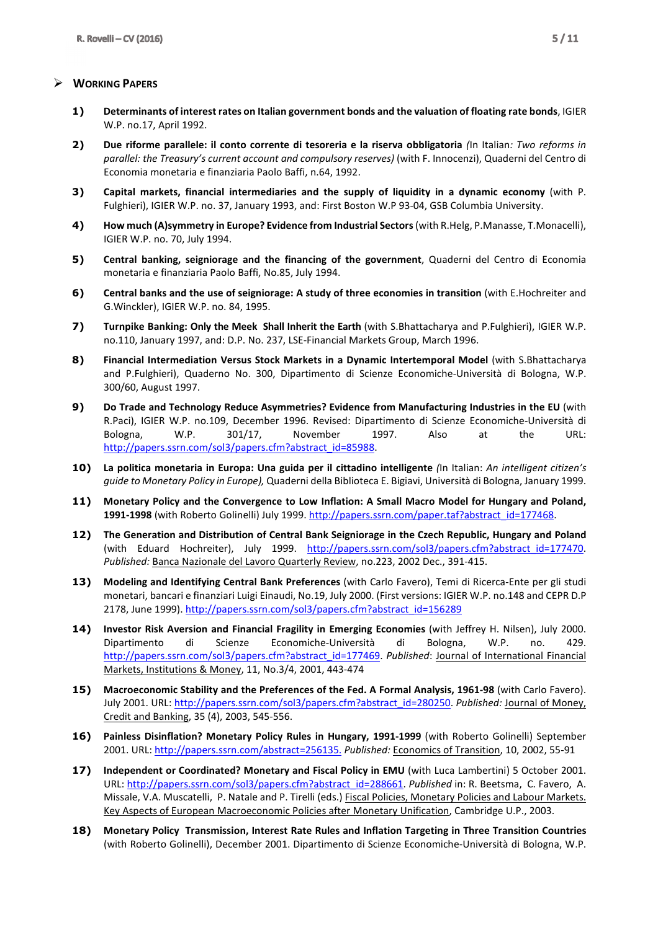## **WORKING PAPERS**

- **1) Determinants of interest rates on Italian government bonds and the valuation of floating rate bonds**, IGIER W.P. no.17, April 1992.
- **2) Due riforme parallele: il conto corrente di tesoreria e la riserva obbligatoria** *(*In Italian*: Two reforms in parallel: the Treasury's current account and compulsory reserves)* (with F. Innocenzi), Quaderni del Centro di Economia monetaria e finanziaria Paolo Baffi, n.64, 1992.
- **3) Capital markets, financial intermediaries and the supply of liquidity in a dynamic economy** (with P. Fulghieri), IGIER W.P. no. 37, January 1993, and: First Boston W.P 93-04, GSB Columbia University.
- **4) How much (A)symmetry in Europe? Evidence from Industrial Sectors** (with R.Helg, P.Manasse, T.Monacelli), IGIER W.P. no. 70, July 1994.
- **5) Central banking, seigniorage and the financing of the government**, Quaderni del Centro di Economia monetaria e finanziaria Paolo Baffi, No.85, July 1994.
- **6) Central banks and the use of seigniorage: A study of three economies in transition** (with E.Hochreiter and G.Winckler), IGIER W.P. no. 84, 1995.
- **7) Turnpike Banking: Only the Meek Shall Inherit the Earth** (with S.Bhattacharya and P.Fulghieri), IGIER W.P. no.110, January 1997, and: D.P. No. 237, LSE-Financial Markets Group, March 1996.
- **8) Financial Intermediation Versus Stock Markets in a Dynamic Intertemporal Model** (with S.Bhattacharya and P.Fulghieri), Quaderno No. 300, Dipartimento di Scienze Economiche-Università di Bologna, W.P. 300/60, August 1997.
- **9) Do Trade and Technology Reduce Asymmetries? Evidence from Manufacturing Industries in the EU** (with R.Paci), IGIER W.P. no.109, December 1996. Revised: Dipartimento di Scienze Economiche-Università di Bologna, W.P. 301/17, November 1997. Also at the URL: http://papers.ssrn.com/sol3/papers.cfm?abstract\_id=85988.
- **10) La politica monetaria in Europa: Una guida per il cittadino intelligente** *(*In Italian: *An intelligent citizen's guide to Monetary Policy in Europe),* Quaderni della Biblioteca E. Bigiavi, Università di Bologna, January 1999.
- **11) Monetary Policy and the Convergence to Low Inflation: A Small Macro Model for Hungary and Poland, 1991-1998** (with Roberto Golinelli) July 1999. http://papers.ssrn.com/paper.taf?abstract\_id=177468.
- **12) The Generation and Distribution of Central Bank Seigniorage in the Czech Republic, Hungary and Poland** (with Eduard Hochreiter), July 1999. http://papers.ssrn.com/sol3/papers.cfm?abstract\_id=177470. *Published:* Banca Nazionale del Lavoro Quarterly Review, no.223, 2002 Dec., 391-415.
- **13) Modeling and Identifying Central Bank Preferences** (with Carlo Favero), Temi di Ricerca-Ente per gli studi monetari, bancari e finanziari Luigi Einaudi, No.19, July 2000. (First versions: IGIER W.P. no.148 and CEPR D.P 2178, June 1999). http://papers.ssrn.com/sol3/papers.cfm?abstract\_id=156289
- **14) Investor Risk Aversion and Financial Fragility in Emerging Economies** (with Jeffrey H. Nilsen), July 2000. Dipartimento di Scienze Economiche-Università di Bologna, W.P. no. 429. http://papers.ssrn.com/sol3/papers.cfm?abstract\_id=177469. *Published*: Journal of International Financial Markets, Institutions & Money, 11, No.3/4, 2001, 443-474
- **15) Macroeconomic Stability and the Preferences of the Fed. A Formal Analysis, 1961-98** (with Carlo Favero). July 2001. URL: http://papers.ssrn.com/sol3/papers.cfm?abstract\_id=280250. *Published:* Journal of Money, Credit and Banking, 35 (4), 2003, 545-556.
- **16) Painless Disinflation? Monetary Policy Rules in Hungary, 1991-1999** (with Roberto Golinelli) September 2001. URL: http://papers.ssrn.com/abstract=256135. *Published:* Economics of Transition, 10, 2002, 55-91
- **17) Independent or Coordinated? Monetary and Fiscal Policy in EMU** (with Luca Lambertini) 5 October 2001. URL: http://papers.ssrn.com/sol3/papers.cfm?abstract\_id=288661. *Published* in: R. Beetsma, C. Favero, A. Missale, V.A. Muscatelli, P. Natale and P. Tirelli (eds.) Fiscal Policies, Monetary Policies and Labour Markets. Key Aspects of European Macroeconomic Policies after Monetary Unification, Cambridge U.P., 2003.
- **18) Monetary Policy Transmission, Interest Rate Rules and Inflation Targeting in Three Transition Countries** (with Roberto Golinelli), December 2001. Dipartimento di Scienze Economiche-Università di Bologna, W.P.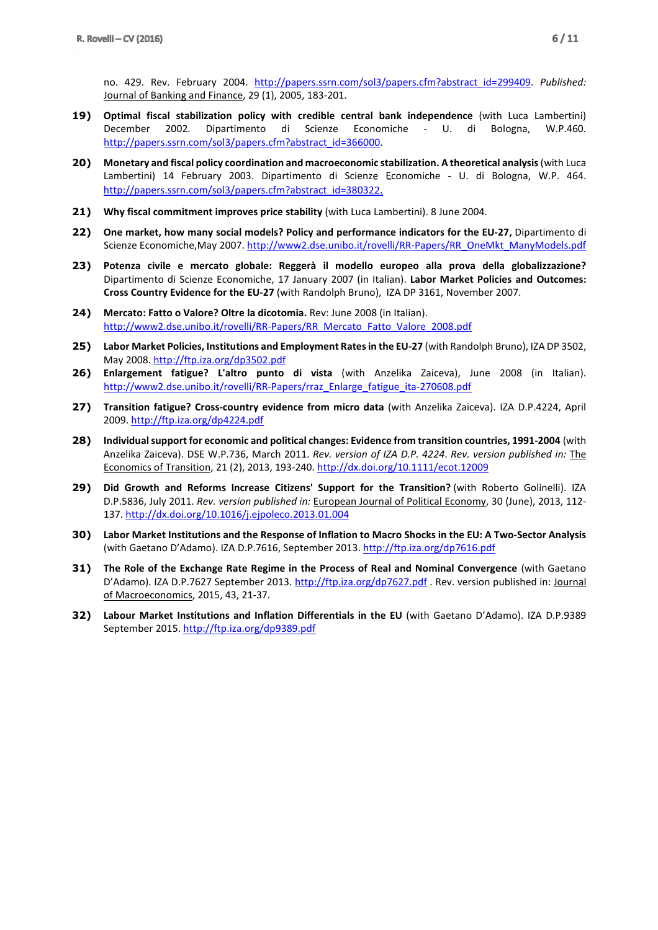no. 429. Rev. February 2004. http://papers.ssrn.com/sol3/papers.cfm?abstract\_id=299409. *Published:* Journal of Banking and Finance, 29 (1), 2005, 183-201.

- **19) Optimal fiscal stabilization policy with credible central bank independence** (with Luca Lambertini) December 2002. Dipartimento di Scienze Economiche - U. di Bologna, W.P.460. http://papers.ssrn.com/sol3/papers.cfm?abstract\_id=366000.
- **20) Monetary and fiscal policy coordination and macroeconomic stabilization. A theoretical analysis** (with Luca Lambertini) 14 February 2003. Dipartimento di Scienze Economiche - U. di Bologna, W.P. 464. http://papers.ssrn.com/sol3/papers.cfm?abstract\_id=380322.
- **21) Why fiscal commitment improves price stability** (with Luca Lambertini). 8 June 2004.
- **22) One market, how many social models? Policy and performance indicators for the EU-27,** Dipartimento di Scienze Economiche,May 2007. http://www2.dse.unibo.it/rovelli/RR-Papers/RR\_OneMkt\_ManyModels.pdf
- **23) Potenza civile e mercato globale: Reggerà il modello europeo alla prova della globalizzazione?**  Dipartimento di Scienze Economiche, 17 January 2007 (in Italian). **Labor Market Policies and Outcomes: Cross Country Evidence for the EU-27** (with Randolph Bruno), IZA DP 3161, November 2007.
- **24) Mercato: Fatto o Valore? Oltre la dicotomia.** Rev: June 2008 (in Italian). http://www2.dse.unibo.it/rovelli/RR-Papers/RR\_Mercato\_Fatto\_Valore\_2008.pdf
- **25) Labor Market Policies, Institutions and Employment Rates in the EU-27** (with Randolph Bruno), IZA DP 3502, May 2008. http://ftp.iza.org/dp3502.pdf
- **26) Enlargement fatigue? L'altro punto di vista** (with Anzelika Zaiceva), June 2008 (in Italian). http://www2.dse.unibo.it/rovelli/RR-Papers/rraz\_Enlarge\_fatigue\_ita-270608.pdf
- **27) Transition fatigue? Cross-country evidence from micro data** (with Anzelika Zaiceva). IZA D.P.4224, April 2009. http://ftp.iza.org/dp4224.pdf
- **28) Individual support for economic and political changes: Evidence from transition countries, 1991-2004** (with Anzelika Zaiceva). DSE W.P.736, March 2011. *Rev. version of IZA D.P. 4224*. *Rev. version published in:* The Economics of Transition, 21 (2), 2013, 193-240. http://dx.doi.org/10.1111/ecot.12009
- **29) Did Growth and Reforms Increase Citizens' Support for the Transition?** (with Roberto Golinelli). IZA D.P.5836, July 2011. *Rev. version published in:* European Journal of Political Economy, 30 (June), 2013, 112- 137. http://dx.doi.org/10.1016/j.ejpoleco.2013.01.004
- **30) Labor Market Institutions and the Response of Inflation to Macro Shocks in the EU: A Two-Sector Analysis**  (with Gaetano D'Adamo). IZA D.P.7616, September 2013. http://ftp.iza.org/dp7616.pdf
- **31) The Role of the Exchange Rate Regime in the Process of Real and Nominal Convergence** (with Gaetano D'Adamo). IZA D.P.7627 September 2013. http://ftp.iza.org/dp7627.pdf . Rev. version published in: Journal of Macroeconomics, 2015, 43, 21-37.
- **32) Labour Market Institutions and Inflation Differentials in the EU** (with Gaetano D'Adamo). IZA D.P.9389 September 2015. http://ftp.iza.org/dp9389.pdf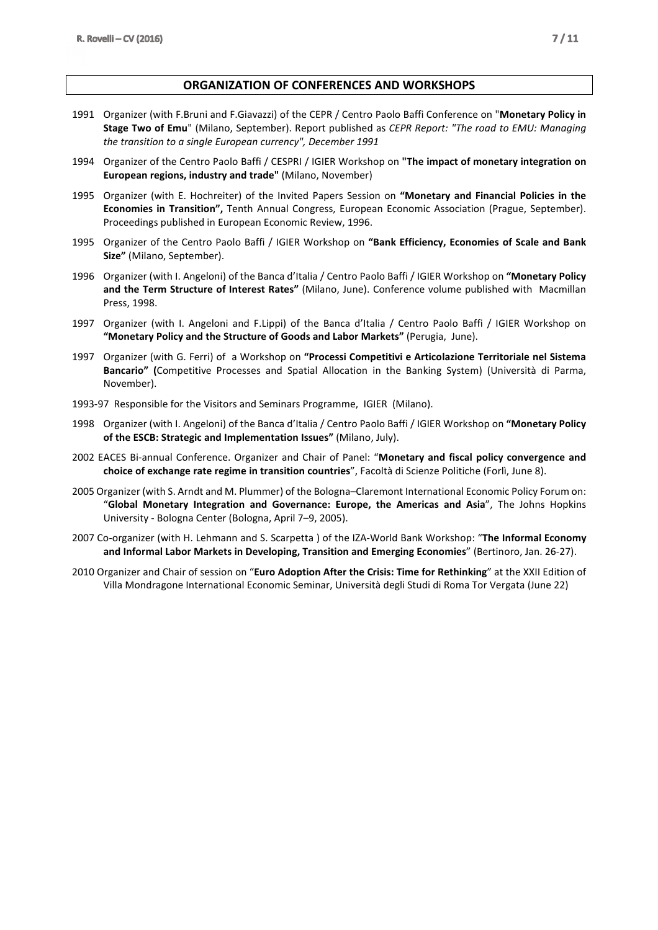#### **ORGANIZATION OF CONFERENCES AND WORKSHOPS**

- 1991 Organizer (with F.Bruni and F.Giavazzi) of the CEPR / Centro Paolo Baffi Conference on "**Monetary Policy in Stage Two of Emu**" (Milano, September). Report published as *CEPR Report: "The road to EMU: Managing the transition to a single European currency", December 1991*
- 1994 Organizer of the Centro Paolo Baffi / CESPRI / IGIER Workshop on **"The impact of monetary integration on European regions, industry and trade"** (Milano, November)
- 1995 Organizer (with E. Hochreiter) of the Invited Papers Session on **"Monetary and Financial Policies in the Economies in Transition",** Tenth Annual Congress, European Economic Association (Prague, September). Proceedings published in European Economic Review, 1996.
- 1995 Organizer of the Centro Paolo Baffi / IGIER Workshop on **"Bank Efficiency, Economies of Scale and Bank Size"** (Milano, September).
- 1996 Organizer (with I. Angeloni) of the Banca d'Italia / Centro Paolo Baffi / IGIER Workshop on **"Monetary Policy and the Term Structure of Interest Rates"** (Milano, June). Conference volume published with Macmillan Press, 1998.
- 1997 Organizer (with I. Angeloni and F.Lippi) of the Banca d'Italia / Centro Paolo Baffi / IGIER Workshop on **"Monetary Policy and the Structure of Goods and Labor Markets"** (Perugia, June).
- 1997 Organizer (with G. Ferri) of a Workshop on **"Processi Competitivi e Articolazione Territoriale nel Sistema Bancario" (**Competitive Processes and Spatial Allocation in the Banking System) (Università di Parma, November).
- 1993-97 Responsible for the Visitors and Seminars Programme, IGIER (Milano).
- 1998 Organizer (with I. Angeloni) of the Banca d'Italia / Centro Paolo Baffi / IGIER Workshop on **"Monetary Policy of the ESCB: Strategic and Implementation Issues"** (Milano, July).
- 2002 EACES Bi-annual Conference. Organizer and Chair of Panel: "**Monetary and fiscal policy convergence and choice of exchange rate regime in transition countries**", Facoltà di Scienze Politiche (Forlì, June 8).
- 2005 Organizer (with S. Arndt and M. Plummer) of the Bologna–Claremont International Economic Policy Forum on: "**Global Monetary Integration and Governance: Europe, the Americas and Asia**", The Johns Hopkins University - Bologna Center (Bologna, April 7–9, 2005).
- 2007 Co-organizer (with H. Lehmann and S. Scarpetta ) of the IZA-World Bank Workshop: "**The Informal Economy and Informal Labor Markets in Developing, Transition and Emerging Economies**" (Bertinoro, Jan. 26-27).
- 2010 Organizer and Chair of session on "**Euro Adoption After the Crisis: Time for Rethinking**" at the XXII Edition of Villa Mondragone International Economic Seminar, Università degli Studi di Roma Tor Vergata (June 22)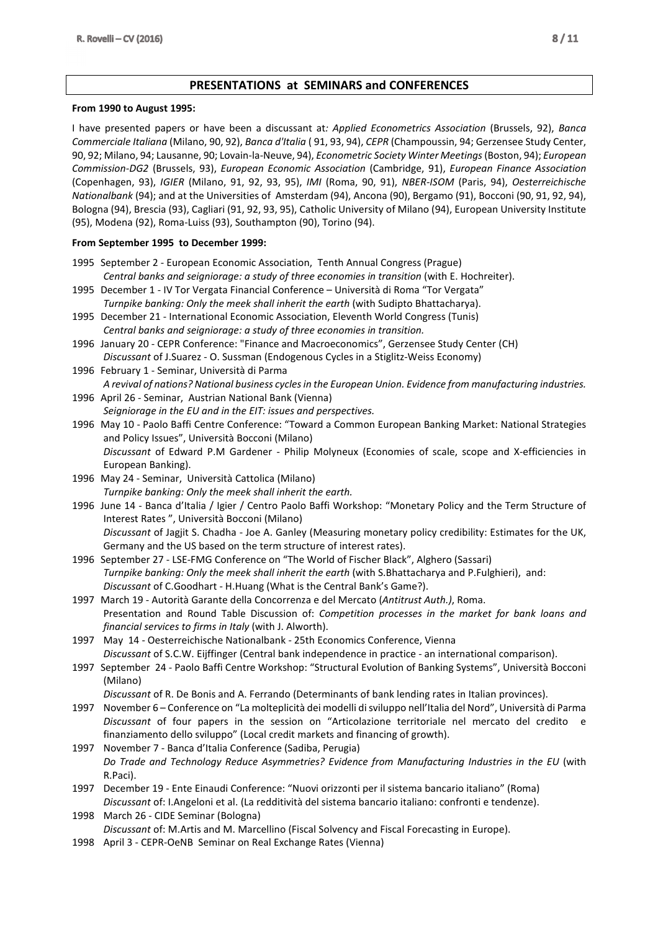## **PRESENTATIONS at SEMINARS and CONFERENCES**

#### **From 1990 to August 1995:**

I have presented papers or have been a discussant at*: Applied Econometrics Association* (Brussels, 92), *Banca Commerciale Italiana* (Milano, 90, 92), *Banca d'Italia* ( 91, 93, 94), *CEPR* (Champoussin, 94; Gerzensee Study Center, 90, 92; Milano, 94; Lausanne, 90; Lovain-la-Neuve, 94), *Econometric Society Winter Meetings* (Boston, 94); *European Commission-DG2* (Brussels, 93), *European Economic Association* (Cambridge, 91), *European Finance Association* (Copenhagen, 93), *IGIER* (Milano, 91, 92, 93, 95), *IMI* (Roma, 90, 91), *NBER-ISOM* (Paris, 94), *Oesterreichische Nationalbank* (94); and at the Universities of Amsterdam (94), Ancona (90), Bergamo (91), Bocconi (90, 91, 92, 94), Bologna (94), Brescia (93), Cagliari (91, 92, 93, 95), Catholic University of Milano (94), European University Institute (95), Modena (92), Roma-Luiss (93), Southampton (90), Torino (94).

#### **From September 1995 to December 1999:**

- 1995 September 2 European Economic Association, Tenth Annual Congress (Prague) *Central banks and seigniorage: a study of three economies in transition (with E. Hochreiter).*
- 1995 December 1 IV Tor Vergata Financial Conference Università di Roma "Tor Vergata"  *Turnpike banking: Only the meek shall inherit the earth* (with Sudipto Bhattacharya).
- 1995 December 21 International Economic Association, Eleventh World Congress (Tunis)  *Central banks and seigniorage: a study of three economies in transition.*
- 1996 January 20 CEPR Conference: "Finance and Macroeconomics", Gerzensee Study Center (CH) *Discussant* of J.Suarez - O. Sussman (Endogenous Cycles in a Stiglitz-Weiss Economy)
- 1996 February 1 Seminar, Università di Parma *A revival of nations? National business cycles in the European Union. Evidence from manufacturing industries.*
- 1996 April 26 Seminar, Austrian National Bank (Vienna) *Seigniorage in the EU and in the EIT: issues and perspectives.*
- 1996 May 10 Paolo Baffi Centre Conference: "Toward a Common European Banking Market: National Strategies and Policy Issues", Università Bocconi (Milano) *Discussant* of Edward P.M Gardener - Philip Molyneux (Economies of scale, scope and X-efficiencies in European Banking).
- 1996 May 24 Seminar, Università Cattolica (Milano)  *Turnpike banking: Only the meek shall inherit the earth.*
- 1996 June 14 Banca d'Italia / Igier / Centro Paolo Baffi Workshop: "Monetary Policy and the Term Structure of Interest Rates ", Università Bocconi (Milano) *Discussant* of Jagjit S. Chadha - Joe A. Ganley (Measuring monetary policy credibility: Estimates for the UK, Germany and the US based on the term structure of interest rates).
- 1996 September 27 LSE-FMG Conference on "The World of Fischer Black", Alghero (Sassari)  *Turnpike banking: Only the meek shall inherit the earth* (with S.Bhattacharya and P.Fulghieri), and: *Discussant* of C.Goodhart - H.Huang (What is the Central Bank's Game?).
- 1997 March 19 Autorità Garante della Concorrenza e del Mercato (*Antitrust Auth.)*, Roma. Presentation and Round Table Discussion of: *Competition processes in the market for bank loans and financial services to firms in Italy* (with J. Alworth).
- 1997 May 14 Oesterreichische Nationalbank 25th Economics Conference, Vienna *Discussant* of S.C.W. Eijffinger (Central bank independence in practice - an international comparison).
- 1997 September 24 Paolo Baffi Centre Workshop: "Structural Evolution of Banking Systems", Università Bocconi (Milano)

*Discussant* of R. De Bonis and A. Ferrando (Determinants of bank lending rates in Italian provinces).

- 1997 November 6 Conference on "La molteplicità dei modelli di sviluppo nell'Italia del Nord", Università di Parma *Discussant* of four papers in the session on "Articolazione territoriale nel mercato del credito e finanziamento dello sviluppo" (Local credit markets and financing of growth).
- 1997 November 7 Banca d'Italia Conference (Sadiba, Perugia) *Do Trade and Technology Reduce Asymmetries? Evidence from Manufacturing Industries in the EU* (with R.Paci).
- 1997 December 19 Ente Einaudi Conference: "Nuovi orizzonti per il sistema bancario italiano" (Roma) *Discussant* of: I.Angeloni et al. (La redditività del sistema bancario italiano: confronti e tendenze).
- 1998 March 26 CIDE Seminar (Bologna) *Discussant* of: M.Artis and M. Marcellino (Fiscal Solvency and Fiscal Forecasting in Europe).
- 1998 April 3 CEPR-OeNB Seminar on Real Exchange Rates (Vienna)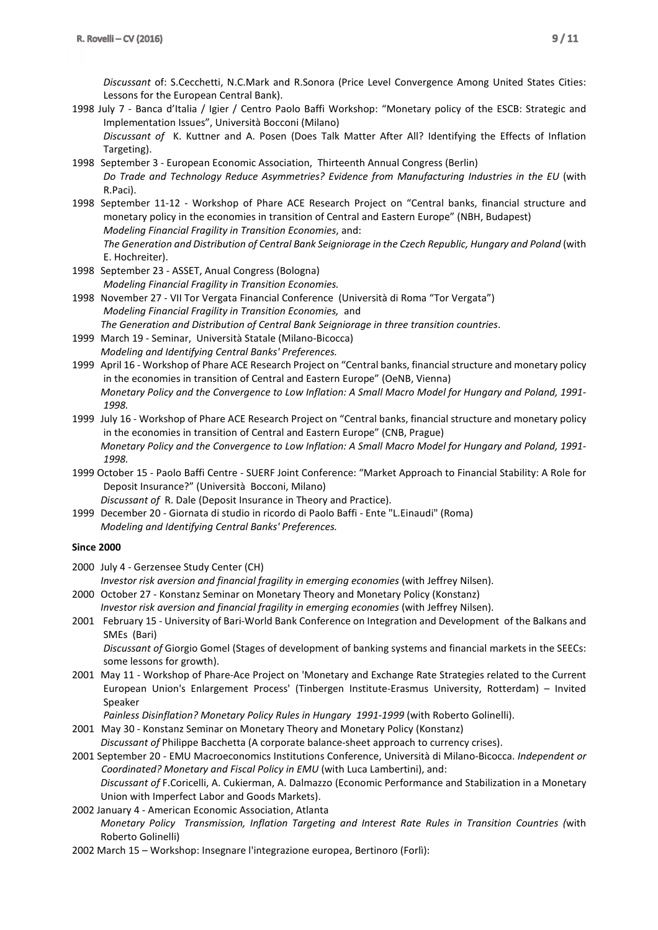*Discussant* of: S.Cecchetti, N.C.Mark and R.Sonora (Price Level Convergence Among United States Cities: Lessons for the European Central Bank).

1998 July 7 - Banca d'Italia / Igier / Centro Paolo Baffi Workshop: "Monetary policy of the ESCB: Strategic and Implementation Issues", Università Bocconi (Milano)

*Discussant of* K. Kuttner and A. Posen (Does Talk Matter After All? Identifying the Effects of Inflation Targeting).

- 1998 September 3 European Economic Association, Thirteenth Annual Congress (Berlin) *Do Trade and Technology Reduce Asymmetries? Evidence from Manufacturing Industries in the EU* (with R.Paci).
- 1998 September 11-12 Workshop of Phare ACE Research Project on "Central banks, financial structure and monetary policy in the economies in transition of Central and Eastern Europe" (NBH, Budapest) *Modeling Financial Fragility in Transition Economies*, and:

 *The Generation and Distribution of Central Bank Seigniorage in the Czech Republic, Hungary and Poland* (with E. Hochreiter).

- 1998 September 23 ASSET, Anual Congress (Bologna) *Modeling Financial Fragility in Transition Economies.*
- 1998 November 27 VII Tor Vergata Financial Conference (Università di Roma "Tor Vergata") *Modeling Financial Fragility in Transition Economies,* and  *The Generation and Distribution of Central Bank Seigniorage in three transition countries*.
- 1999 March 19 Seminar, Università Statale (Milano-Bicocca) *Modeling and Identifying Central Banks' Preferences.*
- 1999 April 16 Workshop of Phare ACE Research Project on "Central banks, financial structure and monetary policy in the economies in transition of Central and Eastern Europe" (OeNB, Vienna)  *Monetary Policy and the Convergence to Low Inflation: A Small Macro Model for Hungary and Poland, 1991- 1998.*
- 1999 July 16 Workshop of Phare ACE Research Project on "Central banks, financial structure and monetary policy in the economies in transition of Central and Eastern Europe" (CNB, Prague)  *Monetary Policy and the Convergence to Low Inflation: A Small Macro Model for Hungary and Poland, 1991- 1998.*
- 1999 October 15 Paolo Baffi Centre SUERF Joint Conference: "Market Approach to Financial Stability: A Role for Deposit Insurance?" (Università Bocconi, Milano)

*Discussant of* R. Dale (Deposit Insurance in Theory and Practice).

1999 December 20 - Giornata di studio in ricordo di Paolo Baffi - Ente "L.Einaudi" (Roma) *Modeling and Identifying Central Banks' Preferences.*

#### **Since 2000**

2000 July 4 - Gerzensee Study Center (CH)

 *Investor risk aversion and financial fragility in emerging economies* (with Jeffrey Nilsen).

- 2000 October 27 Konstanz Seminar on Monetary Theory and Monetary Policy (Konstanz)  *Investor risk aversion and financial fragility in emerging economies* (with Jeffrey Nilsen).
- 2001 February 15 University of Bari-World Bank Conference on Integration and Development of the Balkans and SMEs (Bari)

 *Discussant of* Giorgio Gomel (Stages of development of banking systems and financial markets in the SEECs: some lessons for growth).

2001 May 11 - Workshop of Phare-Ace Project on 'Monetary and Exchange Rate Strategies related to the Current European Union's Enlargement Process' (Tinbergen Institute-Erasmus University, Rotterdam) – Invited Speaker

Painless Disinflation? Monetary Policy Rules in Hungary 1991-1999 (with Roberto Golinelli).

2001 May 30 - Konstanz Seminar on Monetary Theory and Monetary Policy (Konstanz)

*Discussant of* Philippe Bacchetta (A corporate balance-sheet approach to currency crises).

2001 September 20 - EMU Macroeconomics Institutions Conference, Università di Milano-Bicocca. *Independent or Coordinated? Monetary and Fiscal Policy in EMU* (with Luca Lambertini), and:

*Discussant of* F.Coricelli, A. Cukierman, A. Dalmazzo (Economic Performance and Stabilization in a Monetary Union with Imperfect Labor and Goods Markets).

- 2002 January 4 American Economic Association, Atlanta *Monetary Policy Transmission, Inflation Targeting and Interest Rate Rules in Transition Countries (*with Roberto Golinelli)
- 2002 March 15 Workshop: Insegnare l'integrazione europea, Bertinoro (Forlì):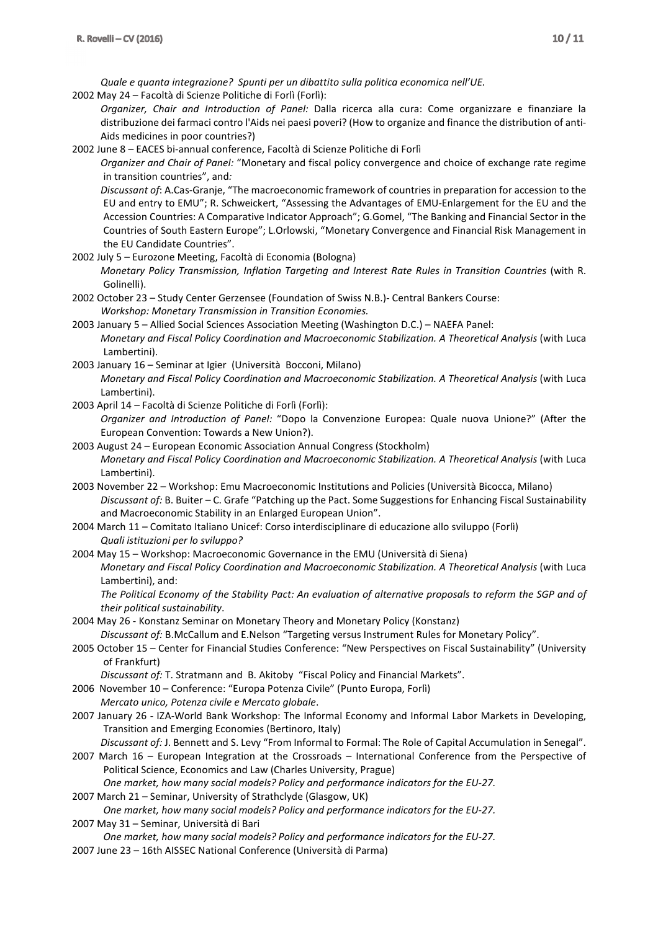*Quale e quanta integrazione? Spunti per un dibattito sulla politica economica nell'UE.* 

2002 May 24 – Facoltà di Scienze Politiche di Forlì (Forlì):

*Organizer, Chair and Introduction of Panel:* Dalla ricerca alla cura: Come organizzare e finanziare la distribuzione dei farmaci contro l'Aids nei paesi poveri? (How to organize and finance the distribution of anti-Aids medicines in poor countries?)

2002 June 8 – EACES bi-annual conference, Facoltà di Scienze Politiche di Forlì

*Organizer and Chair of Panel:* "Monetary and fiscal policy convergence and choice of exchange rate regime in transition countries", and*:*

*Discussant of*: A.Cas-Granje, "The macroeconomic framework of countries in preparation for accession to the EU and entry to EMU"; R. Schweickert, "Assessing the Advantages of EMU-Enlargement for the EU and the Accession Countries: A Comparative Indicator Approach"; G.Gomel, "The Banking and Financial Sector in the Countries of South Eastern Europe"; L.Orlowski, "Monetary Convergence and Financial Risk Management in the EU Candidate Countries".

2002 July 5 – Eurozone Meeting, Facoltà di Economia (Bologna)

 *Monetary Policy Transmission, Inflation Targeting and Interest Rate Rules in Transition Countries* (with R. Golinelli).

- 2002 October 23 Study Center Gerzensee (Foundation of Swiss N.B.)- Central Bankers Course:  *Workshop: Monetary Transmission in Transition Economies.*
- 2003 January 5 Allied Social Sciences Association Meeting (Washington D.C.) NAEFA Panel:  *Monetary and Fiscal Policy Coordination and Macroeconomic Stabilization. A Theoretical Analysis* (with Luca Lambertini).
- 2003 January 16 Seminar at Igier (Università Bocconi, Milano)
	- *Monetary and Fiscal Policy Coordination and Macroeconomic Stabilization. A Theoretical Analysis* (with Luca Lambertini).
- 2003 April 14 Facoltà di Scienze Politiche di Forlì (Forlì):
	- *Organizer and Introduction of Panel:* "Dopo la Convenzione Europea: Quale nuova Unione?" (After the European Convention: Towards a New Union?).
- 2003 August 24 European Economic Association Annual Congress (Stockholm) *Monetary and Fiscal Policy Coordination and Macroeconomic Stabilization. A Theoretical Analysis* (with Luca Lambertini).
- 2003 November 22 Workshop: Emu Macroeconomic Institutions and Policies (Università Bicocca, Milano) *Discussant of:* B. Buiter – C. Grafe "Patching up the Pact. Some Suggestions for Enhancing Fiscal Sustainability and Macroeconomic Stability in an Enlarged European Union".
- 2004 March 11 Comitato Italiano Unicef: Corso interdisciplinare di educazione allo sviluppo (Forlì) *Quali istituzioni per lo sviluppo?*
- 2004 May 15 Workshop: Macroeconomic Governance in the EMU (Università di Siena) *Monetary and Fiscal Policy Coordination and Macroeconomic Stabilization. A Theoretical Analysis* (with Luca Lambertini), and:

*The Political Economy of the Stability Pact: An evaluation of alternative proposals to reform the SGP and of their political sustainability*.

- 2004 May 26 Konstanz Seminar on Monetary Theory and Monetary Policy (Konstanz) *Discussant of:* B.McCallum and E.Nelson "Targeting versus Instrument Rules for Monetary Policy".
- 2005 October 15 Center for Financial Studies Conference: "New Perspectives on Fiscal Sustainability" (University of Frankfurt)

*Discussant of:* T. Stratmann and B. Akitoby "Fiscal Policy and Financial Markets".

- 2006 November 10 Conference: "Europa Potenza Civile" (Punto Europa, Forlì)
- *Mercato unico, Potenza civile e Mercato globale*.
- 2007 January 26 IZA-World Bank Workshop: The Informal Economy and Informal Labor Markets in Developing, Transition and Emerging Economies (Bertinoro, Italy)

*Discussant of:* J. Bennett and S. Levy "From Informal to Formal: The Role of Capital Accumulation in Senegal".

2007 March 16 – European Integration at the Crossroads – International Conference from the Perspective of Political Science, Economics and Law (Charles University, Prague)

 *One market, how many social models? Policy and performance indicators for the EU-27.* 

2007 March 21 – Seminar, University of Strathclyde (Glasgow, UK)

 *One market, how many social models? Policy and performance indicators for the EU-27.*  2007 May 31 – Seminar, Università di Bari

- *One market, how many social models? Policy and performance indicators for the EU-27.*
- 2007 June 23 16th AISSEC National Conference (Università di Parma)